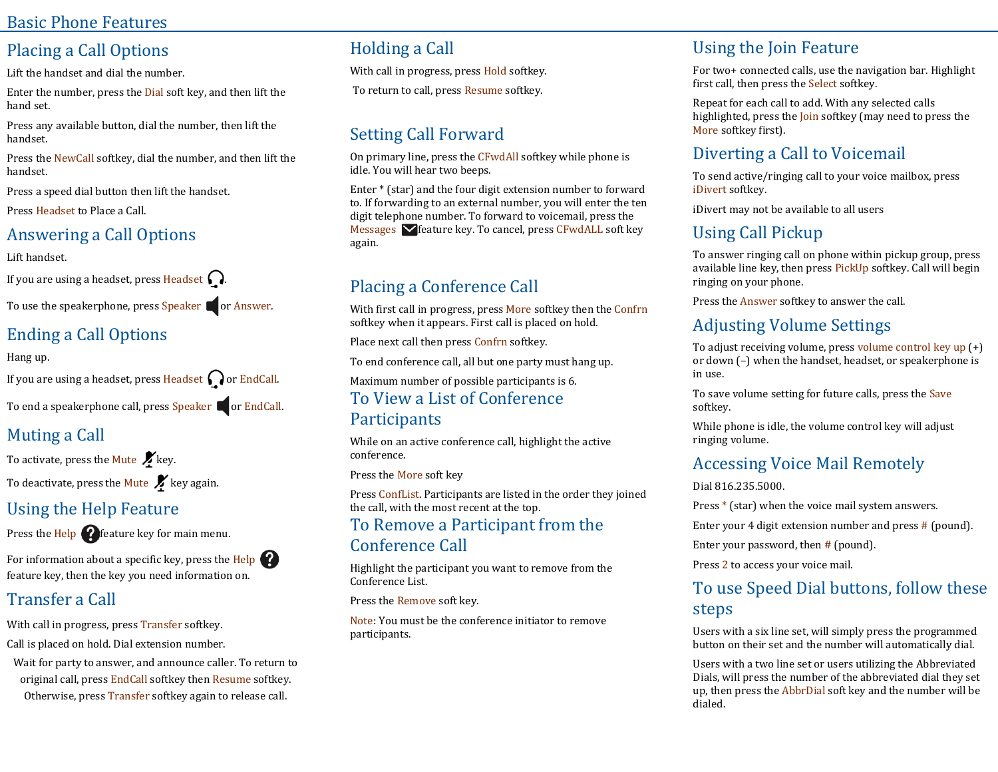#### Basic Phone Features

## Placing a Call Options

Lift the handset and dial the number.

Enter the number, press the Dial soft key, and then lift the hand set.

Press any available button, dial the number, then lift the handset.

Press the NewCall softkey, dial the number, and then lift the handset.

Press a speed dial button then lift the handset.

Press Headset to Place a Call.

## Answering a Call Options

Lift handset.

If you are using a headset, press Headset  $\Omega$ .

To use the speakerphone, press Speaker  $\blacksquare$  or Answer.

## Ending a Call Options

Hang up.

If you are using a headset, press Headset  $\bigcap$  or EndCall.

To end a speakerphone call, press Speaker **or EndCall.** 

## Muting a Call

To activate, press the Mute  $\mathcal{K}$  key. To deactivate, press the Mute  $\boldsymbol{K}$  key again.

#### Using the Help Feature

Press the  $\text{Help}$   $\Omega$  feature key for main menu.

For information about a specific key, press the Help feature key, then the key you need information on.

## Transfer a Call

With call in progress, press Transfer softkey. Call is placed on hold. Dial extension number.

Wait for party to answer, and announce caller. To return to original call, press EndCall softkey then Resume softkey. Otherwise, press Transfer softkey again to release call.

## Holding a Call

With call in progress, press Hold softkey.

To return to call, press Resume softkey.

# Setting Call Forward

On primary line, press the CFwdAll softkey while phone is idle. You will hear two beeps.

Enter \* (star) and the four digit extension number to forward to. If forwarding to an external number, you will enter the ten digit telephone number. To forward to voicemail, press the Messages  $\blacktriangleright$  feature key. To cancel, press CFwdALL soft key again.

## Placing a Conference Call

With first call in progress, press More softkey then the Confrn softkey when it appears. First call is placed on hold.

Place next call then press Confrn softkey.

To end conference call, all but one party must hang up.

Maximum number of possible participants is 6.

#### To View a List of Conference **Participants**

While on an active conference call, highlight the active conference.

Press the More soft key

Press ConfList. Participants are listed in the order they joined the call, with the most recent at the top.

#### To Remove a Participant from the Conference Call

Highlight the participant you want to remove from the Conference List.

Press the Remove soft key.

Note: You must be the conference initiator to remove participants.

# Using the Join Feature

For two+ connected calls, use the navigation bar. Highlight first call, then press the Select softkey.

Repeat for each call to add. With any selected calls highlighted, press the Join softkey (may need to press the More softkey first).

## Diverting a Call to Voicemail

To send active/ringing call to your voice mailbox, press iDivert softkey.

iDivert may not be available to all users

# Using Call Pickup

To answer ringing call on phone within pickup group, press available line key, then press PickUp softkey. Call will begin ringing on your phone.

Press the Answer softkey to answer the call.

## Adjusting Volume Settings

To adjust receiving volume, press volume control key up (+) or down (–) when the handset, headset, or speakerphone is in use.

To save volume setting for future calls, press the Save softkey.

While phone is idle, the volume control key will adjust ringing volume.

# Accessing Voice Mail Remotely

Dial 816.235.5000.

Press \* (star) when the voice mail system answers.

Enter your 4 digit extension number and press # (pound).

Enter your password, then  $#$  (pound).

Press 2 to access your voice mail.

#### To use Speed Dial buttons, follow these steps

Users with a six line set, will simply press the programmed button on their set and the number will automatically dial.

Users with a two line set or users utilizing the Abbreviated Dials, will press the number of the abbreviated dial they set up, then press the AbbrDial soft key and the number will be dialed.